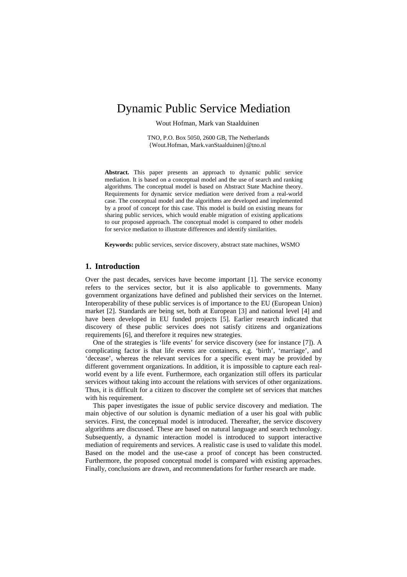# Dynamic Public Service Mediation

Wout Hofman, Mark van Staalduinen

 TNO, P.O. Box 5050, 2600 GB, The Netherlands {Wout.Hofman, Mark.vanStaalduinen}@tno.nl

**Abstract.** This paper presents an approach to dynamic public service mediation. It is based on a conceptual model and the use of search and ranking algorithms. The conceptual model is based on Abstract State Machine theory. Requirements for dynamic service mediation were derived from a real-world case. The conceptual model and the algorithms are developed and implemented by a proof of concept for this case. This model is build on existing means for sharing public services, which would enable migration of existing applications to our proposed approach. The conceptual model is compared to other models for service mediation to illustrate differences and identify similarities.

**Keywords:** public services, service discovery, abstract state machines, WSMO

# **1. Introduction**

Over the past decades, services have become important [1]. The service economy refers to the services sector, but it is also applicable to governments. Many government organizations have defined and published their services on the Internet. Interoperability of these public services is of importance to the EU (European Union) market [2]. Standards are being set, both at European [3] and national level [4] and have been developed in EU funded projects [5]. Earlier research indicated that discovery of these public services does not satisfy citizens and organizations requirements [6], and therefore it requires new strategies.

One of the strategies is 'life events' for service discovery (see for instance [7]). A complicating factor is that life events are containers, e.g. 'birth', 'marriage', and 'decease', whereas the relevant services for a specific event may be provided by different government organizations. In addition, it is impossible to capture each realworld event by a life event. Furthermore, each organization still offers its particular services without taking into account the relations with services of other organizations. Thus, it is difficult for a citizen to discover the complete set of services that matches with his requirement.

This paper investigates the issue of public service discovery and mediation. The main objective of our solution is dynamic mediation of a user his goal with public services. First, the conceptual model is introduced. Thereafter, the service discovery algorithms are discussed. These are based on natural language and search technology. Subsequently, a dynamic interaction model is introduced to support interactive mediation of requirements and services. A realistic case is used to validate this model. Based on the model and the use-case a proof of concept has been constructed. Furthermore, the proposed conceptual model is compared with existing approaches. Finally, conclusions are drawn, and recommendations for further research are made.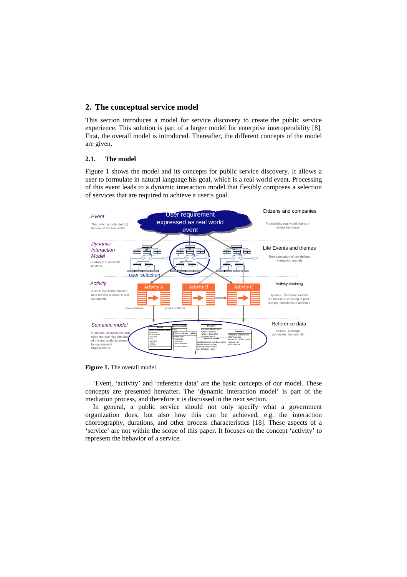# **2. The conceptual service model**

This section introduces a model for service discovery to create the public service experience. This solution is part of a larger model for enterprise interoperability [8]. First, the overall model is introduced. Thereafter, the different concepts of the model are given.

#### **2.1. The model**

Figure 1 shows the model and its concepts for public service discovery. It allows a user to formulate in natural language his goal, which is a real world event. Processing of this event leads to a dynamic interaction model that flexibly composes a selection of services that are required to achieve a user's goal.



**Figure 1.** The overall model

'Event, 'activity' and 'reference data' are the basic concepts of our model. These concepts are presented hereafter. The 'dynamic interaction model' is part of the mediation process, and therefore it is discussed in the next section.

In general, a public service should not only specify what a government organization does, but also how this can be achieved, e.g. the interaction choreography, durations, and other process characteristics [18]. These aspects of a 'service' are not within the scope of this paper. It focuses on the concept 'activity' to represent the behavior of a service.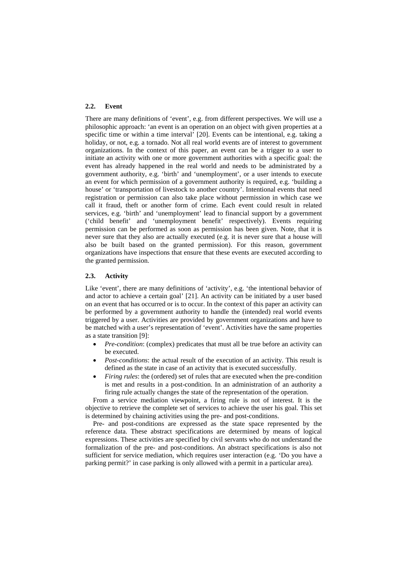## **2.2. Event**

There are many definitions of 'event', e.g. from different perspectives. We will use a philosophic approach: 'an event is an operation on an object with given properties at a specific time or within a time interval' [20]. Events can be intentional, e.g. taking a holiday, or not, e.g. a tornado. Not all real world events are of interest to government organizations. In the context of this paper, an event can be a trigger to a user to initiate an activity with one or more government authorities with a specific goal: the event has already happened in the real world and needs to be administrated by a government authority, e.g. 'birth' and 'unemployment', or a user intends to execute an event for which permission of a government authority is required, e.g. 'building a house' or 'transportation of livestock to another country'. Intentional events that need registration or permission can also take place without permission in which case we call it fraud, theft or another form of crime. Each event could result in related services, e.g. 'birth' and 'unemployment' lead to financial support by a government ('child benefit' and 'unemployment benefit' respectively). Events requiring permission can be performed as soon as permission has been given. Note, that it is never sure that they also are actually executed (e.g. it is never sure that a house will also be built based on the granted permission). For this reason, government organizations have inspections that ensure that these events are executed according to the granted permission.

## **2.3. Activity**

Like 'event', there are many definitions of 'activity', e.g. 'the intentional behavior of and actor to achieve a certain goal' [21]. An activity can be initiated by a user based on an event that has occurred or is to occur. In the context of this paper an activity can be performed by a government authority to handle the (intended) real world events triggered by a user. Activities are provided by government organizations and have to be matched with a user's representation of 'event'. Activities have the same properties as a state transition [9]:

- *Pre-condition*: (complex) predicates that must all be true before an activity can be executed.
- *Post-conditions*: the actual result of the execution of an activity. This result is defined as the state in case of an activity that is executed successfully.
- *Firing rules*: the (ordered) set of rules that are executed when the pre-condition is met and results in a post-condition. In an administration of an authority a firing rule actually changes the state of the representation of the operation.

From a service mediation viewpoint, a firing rule is not of interest. It is the objective to retrieve the complete set of services to achieve the user his goal. This set is determined by chaining activities using the pre- and post-conditions.

Pre- and post-conditions are expressed as the state space represented by the reference data. These abstract specifications are determined by means of logical expressions. These activities are specified by civil servants who do not understand the formalization of the pre- and post-conditions. An abstract specifications is also not sufficient for service mediation, which requires user interaction (e.g. 'Do you have a parking permit?' in case parking is only allowed with a permit in a particular area).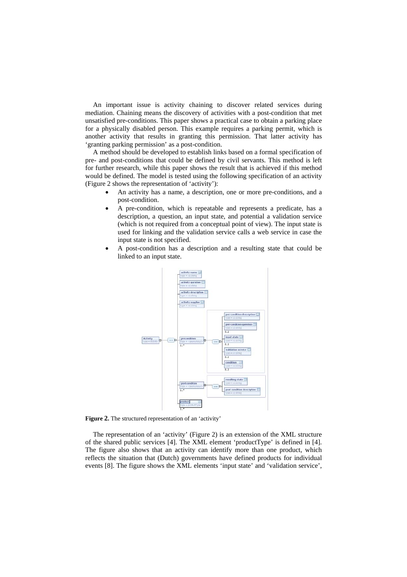An important issue is activity chaining to discover related services during mediation. Chaining means the discovery of activities with a post-condition that met unsatisfied pre-conditions. This paper shows a practical case to obtain a parking place for a physically disabled person. This example requires a parking permit, which is another activity that results in granting this permission. That latter activity has 'granting parking permission' as a post-condition.

A method should be developed to establish links based on a formal specification of pre- and post-conditions that could be defined by civil servants. This method is left for further research, while this paper shows the result that is achieved if this method would be defined. The model is tested using the following specification of an activity (Figure 2 shows the representation of 'activity'):

- An activity has a name, a description, one or more pre-conditions, and a post-condition.
- A pre-condition, which is repeatable and represents a predicate, has a description, a question, an input state, and potential a validation service (which is not required from a conceptual point of view). The input state is used for linking and the validation service calls a web service in case the input state is not specified.
- A post-condition has a description and a resulting state that could be linked to an input state.



**Figure 2.** The structured representation of an 'activity'

The representation of an 'activity' (Figure 2) is an extension of the XML structure of the shared public services [4]. The XML element 'productType' is defined in [4]. The figure also shows that an activity can identify more than one product, which reflects the situation that (Dutch) governments have defined products for individual events [8]. The figure shows the XML elements 'input state' and 'validation service',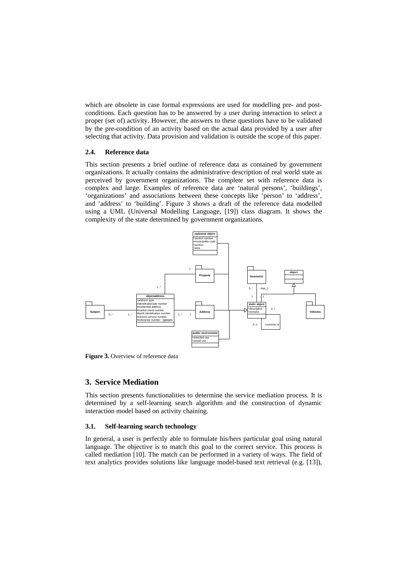which are obsolete in case formal expressions are used for modelling pre- and postconditions. Each question has to be answered by a user during interaction to select a proper (set of) activity. However, the answers to these questions have to be validated by the pre-condition of an activity based on the actual data provided by a user after selecting that activity. Data provision and validation is outside the scope of this paper.

#### **2.4. Reference data**

This section presents a brief outline of reference data as contained by government organizations. It actually contains the administrative description of real world state as perceived by government organizations. The complete set with reference data is complex and large. Examples of reference data are 'natural persons', 'buildings', 'organizations' and associations between these concepts like 'person' to 'address', and 'address' to 'building'. Figure 3 shows a draft of the reference data modelled using a UML (Universal Modelling Language, [19]) class diagram. It shows the complexity of the state determined by government organizations.



**Figure 3.** Overview of reference data

# **3. Service Mediation**

This section presents functionalities to determine the service mediation process. It is determined by a self-learning search algorithm and the construction of dynamic interaction model based on activity chaining.

#### **3.1. Self-learning search technology**

In general, a user is perfectly able to formulate his/hers particular goal using natural language. The objective is to match this goal to the correct service. This process is called mediation [10]. The match can be performed in a variety of ways. The field of text analytics provides solutions like language model-based text retrieval (e.g. [13]),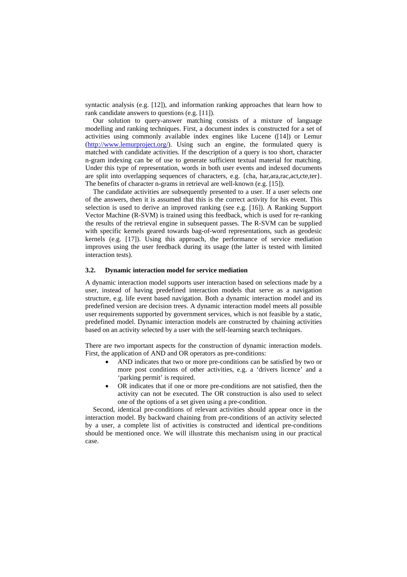syntactic analysis (e.g. [12]), and information ranking approaches that learn how to rank candidate answers to questions (e.g. [11]).

Our solution to query-answer matching consists of a mixture of language modelling and ranking techniques. First, a document index is constructed for a set of activities using commonly available index engines like Lucene ([14]) or Lemur (http://www.lemurproject.org/). Using such an engine, the formulated query is matched with candidate activities. If the description of a query is too short, character n-gram indexing can be of use to generate sufficient textual material for matching. Under this type of representation, words in both user events and indexed documents are split into overlapping sequences of characters, e.g. {cha, har,ara,rac,act,cte,ter}. The benefits of character n-grams in retrieval are well-known (e.g. [15]).

The candidate activities are subsequently presented to a user. If a user selects one of the answers, then it is assumed that this is the correct activity for his event. This selection is used to derive an improved ranking (see e.g. [16]). A Ranking Support Vector Machine (R-SVM) is trained using this feedback, which is used for re-ranking the results of the retrieval engine in subsequent passes. The R-SVM can be supplied with specific kernels geared towards bag-of-word representations, such as geodesic kernels (e.g. [17]). Using this approach, the performance of service mediation improves using the user feedback during its usage (the latter is tested with limited interaction tests).

#### **3.2. Dynamic interaction model for service mediation**

A dynamic interaction model supports user interaction based on selections made by a user, instead of having predefined interaction models that serve as a navigation structure, e.g. life event based navigation. Both a dynamic interaction model and its predefined version are decision trees. A dynamic interaction model meets all possible user requirements supported by government services, which is not feasible by a static, predefined model. Dynamic interaction models are constructed by chaining activities based on an activity selected by a user with the self-learning search techniques.

There are two important aspects for the construction of dynamic interaction models. First, the application of AND and OR operators as pre-conditions:

- AND indicates that two or more pre-conditions can be satisfied by two or more post conditions of other activities, e.g. a 'drivers licence' and a 'parking permit' is required.
- OR indicates that if one or more pre-conditions are not satisfied, then the activity can not be executed. The OR construction is also used to select one of the options of a set given using a pre-condition.

Second, identical pre-conditions of relevant activities should appear once in the interaction model. By backward chaining from pre-conditions of an activity selected by a user, a complete list of activities is constructed and identical pre-conditions should be mentioned once. We will illustrate this mechanism using in our practical case.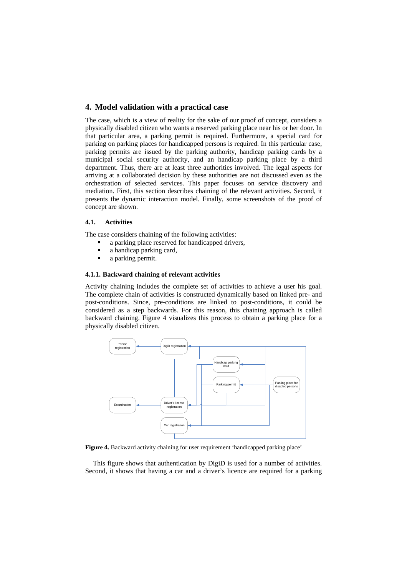## **4. Model validation with a practical case**

The case, which is a view of reality for the sake of our proof of concept, considers a physically disabled citizen who wants a reserved parking place near his or her door. In that particular area, a parking permit is required. Furthermore, a special card for parking on parking places for handicapped persons is required. In this particular case, parking permits are issued by the parking authority, handicap parking cards by a municipal social security authority, and an handicap parking place by a third department. Thus, there are at least three authorities involved. The legal aspects for arriving at a collaborated decision by these authorities are not discussed even as the orchestration of selected services. This paper focuses on service discovery and mediation. First, this section describes chaining of the relevant activities. Second, it presents the dynamic interaction model. Finally, some screenshots of the proof of concept are shown.

## **4.1. Activities**

The case considers chaining of the following activities:

- a parking place reserved for handicapped drivers,
- a handicap parking card,
- **a** parking permit.

## **4.1.1. Backward chaining of relevant activities**

Activity chaining includes the complete set of activities to achieve a user his goal. The complete chain of activities is constructed dynamically based on linked pre- and post-conditions. Since, pre-conditions are linked to post-conditions, it could be considered as a step backwards. For this reason, this chaining approach is called backward chaining. Figure 4 visualizes this process to obtain a parking place for a physically disabled citizen.



**Figure 4.** Backward activity chaining for user requirement 'handicapped parking place'

This figure shows that authentication by DigiD is used for a number of activities. Second, it shows that having a car and a driver's licence are required for a parking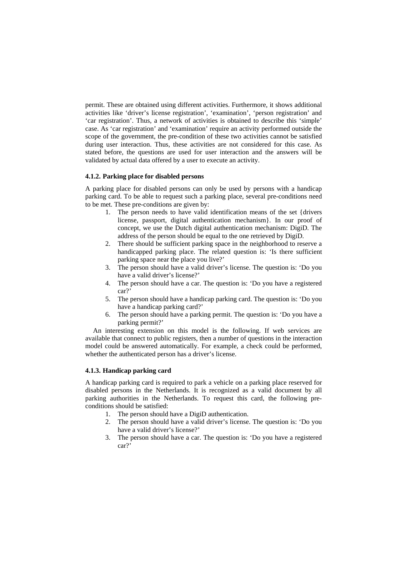permit. These are obtained using different activities. Furthermore, it shows additional activities like 'driver's license registration', 'examination', 'person registration' and 'car registration'. Thus, a network of activities is obtained to describe this 'simple' case. As 'car registration' and 'examination' require an activity performed outside the scope of the government, the pre-condition of these two activities cannot be satisfied during user interaction. Thus, these activities are not considered for this case. As stated before, the questions are used for user interaction and the answers will be validated by actual data offered by a user to execute an activity.

#### **4.1.2. Parking place for disabled persons**

A parking place for disabled persons can only be used by persons with a handicap parking card. To be able to request such a parking place, several pre-conditions need to be met. These pre-conditions are given by:

- 1. The person needs to have valid identification means of the set {drivers license, passport, digital authentication mechanism}. In our proof of concept, we use the Dutch digital authentication mechanism: DigiD. The address of the person should be equal to the one retrieved by DigiD.
- 2. There should be sufficient parking space in the neighborhood to reserve a handicapped parking place. The related question is: 'Is there sufficient parking space near the place you live?'
- 3. The person should have a valid driver's license. The question is: 'Do you have a valid driver's license?'
- 4. The person should have a car. The question is: 'Do you have a registered car?'
- 5. The person should have a handicap parking card. The question is: 'Do you have a handicap parking card?'
- 6. The person should have a parking permit. The question is: 'Do you have a parking permit?'

An interesting extension on this model is the following. If web services are available that connect to public registers, then a number of questions in the interaction model could be answered automatically. For example, a check could be performed, whether the authenticated person has a driver's license.

## **4.1.3. Handicap parking card**

A handicap parking card is required to park a vehicle on a parking place reserved for disabled persons in the Netherlands. It is recognized as a valid document by all parking authorities in the Netherlands. To request this card, the following preconditions should be satisfied:

- 1. The person should have a DigiD authentication.
- 2. The person should have a valid driver's license. The question is: 'Do you have a valid driver's license?'
- 3. The person should have a car. The question is: 'Do you have a registered car?'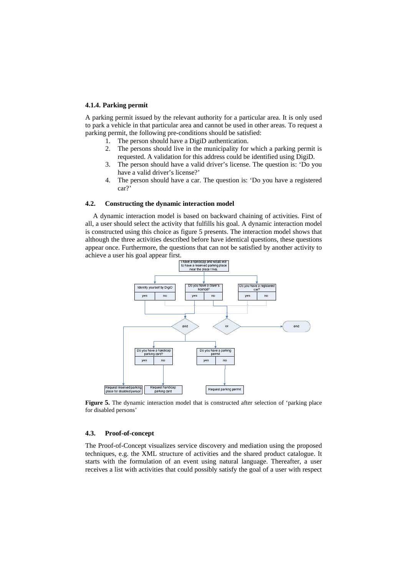#### **4.1.4. Parking permit**

A parking permit issued by the relevant authority for a particular area. It is only used to park a vehicle in that particular area and cannot be used in other areas. To request a parking permit, the following pre-conditions should be satisfied:

- 1. The person should have a DigiD authentication.
- 2. The persons should live in the municipality for which a parking permit is requested. A validation for this address could be identified using DigiD.
- 3. The person should have a valid driver's license. The question is: 'Do you have a valid driver's license?'
- 4. The person should have a car. The question is: 'Do you have a registered car?'

#### **4.2. Constructing the dynamic interaction model**

A dynamic interaction model is based on backward chaining of activities. First of all, a user should select the activity that fulfills his goal. A dynamic interaction model is constructed using this choice as figure 5 presents. The interaction model shows that although the three activities described before have identical questions, these questions appear once. Furthermore, the questions that can not be satisfied by another activity to



**Figure 5.** The dynamic interaction model that is constructed after selection of 'parking place for disabled persons'

#### **4.3. Proof-of-concept**

The Proof-of-Concept visualizes service discovery and mediation using the proposed techniques, e.g. the XML structure of activities and the shared product catalogue. It starts with the formulation of an event using natural language. Thereafter, a user receives a list with activities that could possibly satisfy the goal of a user with respect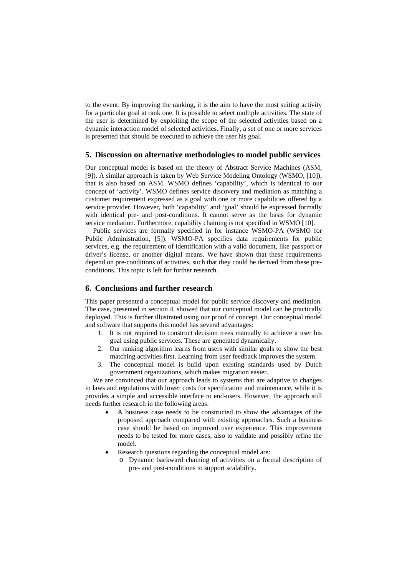to the event. By improving the ranking, it is the aim to have the most suiting activity for a particular goal at rank one. It is possible to select multiple activities. The state of the user is determined by exploiting the scope of the selected activities based on a dynamic interaction model of selected activities. Finally, a set of one or more services is presented that should be executed to achieve the user his goal.

## **5. Discussion on alternative methodologies to model public services**

Our conceptual model is based on the theory of Abstract Service Machines (ASM, [9]). A similar approach is taken by Web Service Modeling Ontology (WSMO, [10]), that is also based on ASM. WSMO defines 'capability', which is identical to our concept of 'activity'. WSMO defines service discovery and mediation as matching a customer requirement expressed as a goal with one or more capabilities offered by a service provider. However, both 'capability' and 'goal' should be expressed formally with identical pre- and post-conditions. It cannot serve as the basis for dynamic service mediation. Furthermore, capability chaining is not specified in WSMO [10].

Public services are formally specified in for instance WSMO-PA (WSMO for Public Administration, [5]). WSMO-PA specifies data requirements for public services, e.g. the requirement of identification with a valid document, like passport or driver's license, or another digital means. We have shown that these requirements depend on pre-conditions of activities, such that they could be derived from these preconditions. This topic is left for further research.

## **6. Conclusions and further research**

This paper presented a conceptual model for public service discovery and mediation. The case, presented in section 4, showed that our conceptual model can be practically deployed. This is further illustrated using our proof of concept. Our conceptual model and software that supports this model has several advantages:

- 1. It is not required to construct decision trees manually to achieve a user his goal using public services. These are generated dynamically.
- 2. Our ranking algorithm learns from users with similar goals to show the best matching activities first. Learning from user feedback improves the system.
- 3. The conceptual model is build upon existing standards used by Dutch government organizations, which makes migration easier.

We are convinced that our approach leads to systems that are adaptive to changes in laws and regulations with lower costs for specification and maintenance, while it is provides a simple and accessible interface to end-users. However, the approach still needs further research in the following areas:

- A business case needs to be constructed to show the advantages of the proposed approach compared with existing approaches. Such a business case should be based on improved user experience. This improvement needs to be tested for more cases, also to validate and possibly refine the model.
- Research questions regarding the conceptual model are:
	- o Dynamic backward chaining of activities on a formal description of pre- and post-conditions to support scalability.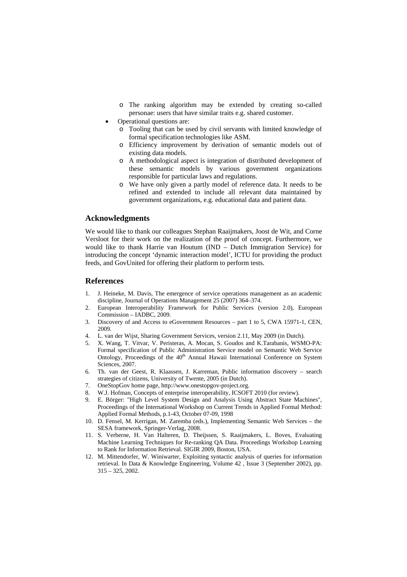- o The ranking algorithm may be extended by creating so-called personae: users that have similar traits e.g. shared customer.
- Operational questions are:
	- o Tooling that can be used by civil servants with limited knowledge of formal specification technologies like ASM.
	- o Efficiency improvement by derivation of semantic models out of existing data models.
	- o A methodological aspect is integration of distributed development of these semantic models by various government organizations responsible for particular laws and regulations.
	- o We have only given a partly model of reference data. It needs to be refined and extended to include all relevant data maintained by government organizations, e.g. educational data and patient data.

## **Acknowledgments**

We would like to thank our colleagues Stephan Raaijmakers, Joost de Wit, and Corne Versloot for their work on the realization of the proof of concept. Furthermore, we would like to thank Harrie van Houtum (IND – Dutch Immigration Service) for introducing the concept 'dynamic interaction model', ICTU for providing the product feeds, and GovUnited for offering their platform to perform tests.

# **References**

- 1. J. Heineke, M. Davis, The emergence of service operations management as an academic discipline, Journal of Operations Management 25 (2007) 364–374.
- 2. European Interoperability Framework for Public Services (version 2.0), European Commission – IADBC, 2009.
- 3. Discovery of and Access to eGovernment Resources part 1 to 5, CWA 15971-1, CEN, 2009.
- 4. L. van der Wijst, Sharing Government Services, version 2.11, May 2009 (in Dutch).
- 5. X. Wang, T. Vitvar, V. Peristeras, A. Mocan, S. Goudos and K.Tarabanis, WSMO-PA: Formal specification of Public Administration Service model on Semantic Web Service Ontology, Proceedings of the 40th Annual Hawaii International Conference on System Sciences, 2007.
- 6. Th. van der Geest, R. Klaassen, J. Karreman, Public information discovery search strategies of citizens, University of Twente, 2005 (in Dutch).
- 7. OneStopGov home page, http://www.onestopgov-project.org.
- 8. W.J. Hofman, Concepts of enterprise interoperability, ICSOFT 2010 (for review).
- 9. E. Börger: "High Level System Design and Analysis Using Abstract State Machines", Proceedings of the International Workshop on Current Trends in Applied Formal Method: Applied Formal Methods, p.1-43, October 07-09, 1998
- 10. D. Fensel, M. Kerrigan, M. Zaremba (eds.), Implementing Semantic Web Services the SESA framework, Springer-Verlag, 2008.
- 11. S. Verberne, H. Van Halteren, D. Theijssen, S. Raaijmakers, L. Boves, Evaluating Machine Learning Techniques for Re-ranking QA Data. Proceedings Workshop Learning to Rank for Information Retrieval. SIGIR 2009, Boston, USA.
- 12. M. Mittendorfer, W. Winiwarter, Exploiting syntactic analysis of queries for information retrieval. In Data & Knowledge Engineering, Volume 42 , Issue 3 (September 2002), pp. 315 – 325, 2002.